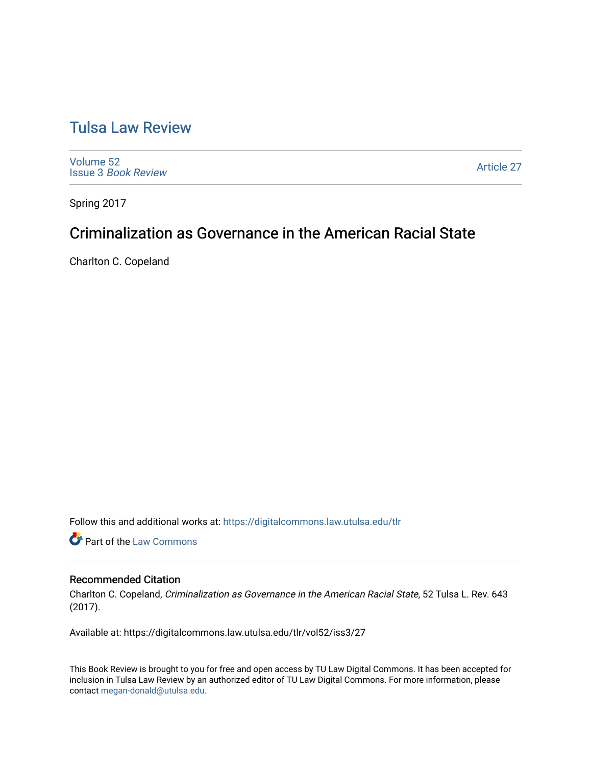# [Tulsa Law Review](https://digitalcommons.law.utulsa.edu/tlr)

[Volume 52](https://digitalcommons.law.utulsa.edu/tlr/vol52) Issue 3 [Book Review](https://digitalcommons.law.utulsa.edu/tlr/vol52/iss3)

[Article 27](https://digitalcommons.law.utulsa.edu/tlr/vol52/iss3/27) 

Spring 2017

# Criminalization as Governance in the American Racial State

Charlton C. Copeland

Follow this and additional works at: [https://digitalcommons.law.utulsa.edu/tlr](https://digitalcommons.law.utulsa.edu/tlr?utm_source=digitalcommons.law.utulsa.edu%2Ftlr%2Fvol52%2Fiss3%2F27&utm_medium=PDF&utm_campaign=PDFCoverPages) 

**Part of the [Law Commons](http://network.bepress.com/hgg/discipline/578?utm_source=digitalcommons.law.utulsa.edu%2Ftlr%2Fvol52%2Fiss3%2F27&utm_medium=PDF&utm_campaign=PDFCoverPages)** 

## Recommended Citation

Charlton C. Copeland, Criminalization as Governance in the American Racial State, 52 Tulsa L. Rev. 643 (2017).

Available at: https://digitalcommons.law.utulsa.edu/tlr/vol52/iss3/27

This Book Review is brought to you for free and open access by TU Law Digital Commons. It has been accepted for inclusion in Tulsa Law Review by an authorized editor of TU Law Digital Commons. For more information, please contact [megan-donald@utulsa.edu.](mailto:megan-donald@utulsa.edu)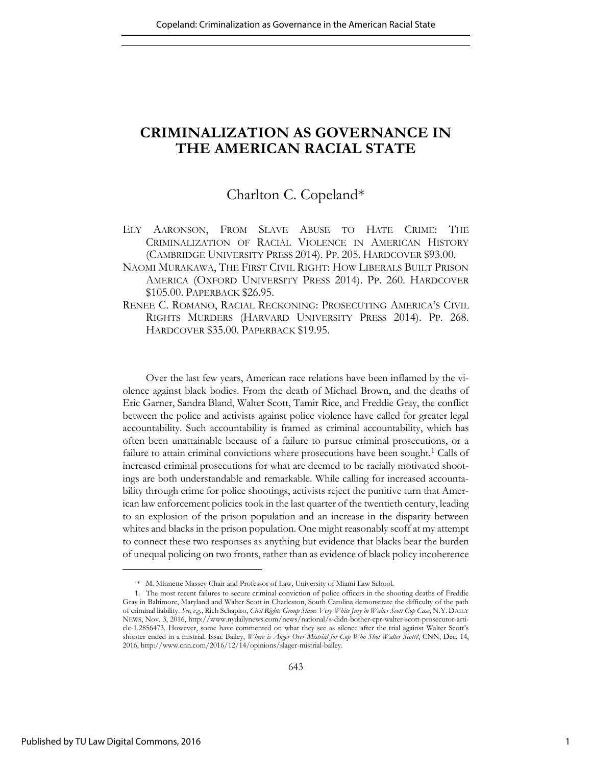# **CRIMINALIZATION AS GOVERNANCE IN THE AMERICAN RACIAL STATE**

## Charlton C. Copeland\*

- ELY AARONSON, FROM SLAVE ABUSE TO HATE CRIME: THE CRIMINALIZATION OF RACIAL VIOLENCE IN AMERICAN HISTORY (CAMBRIDGE UNIVERSITY PRESS 2014). PP. 205. HARDCOVER \$93.00.
- NAOMI MURAKAWA, THE FIRST CIVIL RIGHT: HOW LIBERALS BUILT PRISON AMERICA (OXFORD UNIVERSITY PRESS 2014). PP. 260. HARDCOVER \$105.00. PAPERBACK \$26.95.
- RENEE C. ROMANO, RACIAL RECKONING: PROSECUTING AMERICA'S CIVIL RIGHTS MURDERS (HARVARD UNIVERSITY PRESS 2014). PP. 268. HARDCOVER \$35.00. PAPERBACK \$19.95.

Over the last few years, American race relations have been inflamed by the violence against black bodies. From the death of Michael Brown, and the deaths of Eric Garner, Sandra Bland, Walter Scott, Tamir Rice, and Freddie Gray, the conflict between the police and activists against police violence have called for greater legal accountability. Such accountability is framed as criminal accountability, which has often been unattainable because of a failure to pursue criminal prosecutions, or a failure to attain criminal convictions where prosecutions have been sought.<sup>1</sup> Calls of increased criminal prosecutions for what are deemed to be racially motivated shootings are both understandable and remarkable. While calling for increased accountability through crime for police shootings, activists reject the punitive turn that American law enforcement policies took in the last quarter of the twentieth century, leading to an explosion of the prison population and an increase in the disparity between whites and blacks in the prison population. One might reasonably scoff at my attempt to connect these two responses as anything but evidence that blacks bear the burden of unequal policing on two fronts, rather than as evidence of black policy incoherence

 <sup>\*</sup> M. Minnette Massey Chair and Professor of Law, University of Miami Law School.

<sup>1.</sup> The most recent failures to secure criminal conviction of police officers in the shooting deaths of Freddie Gray in Baltimore, Maryland and Walter Scott in Charleston, South Carolina demonstrate the difficulty of the path of criminal liability. *See*, *e.g*., Rich Schapiro, *Civil Rights Group Slams Very White Jury in Walter Scott Cop Case*, N.Y. DAILY NEWS, Nov. 3, 2016, [http://www.nydailynews.com/news/national/s-didn-bother-cpr-walter-scott-prosecutor-arti](http://www.nydailynews.com/news/national/s-didn-bother-cpr-walter-scott-prosecutor-article-1.2856473)[cle-1.2856473](http://www.nydailynews.com/news/national/s-didn-bother-cpr-walter-scott-prosecutor-article-1.2856473). However, some have commented on what they see as silence after the trial against Walter Scott's shooter ended in a mistrial. Issac Bailey, *Where is Anger Over Mistrial for Cop Who Shot Walter Scott?*, CNN, Dec. 14, 2016, http://www.cnn.com/2016/12/14/opinions/slager-mistrial-bailey.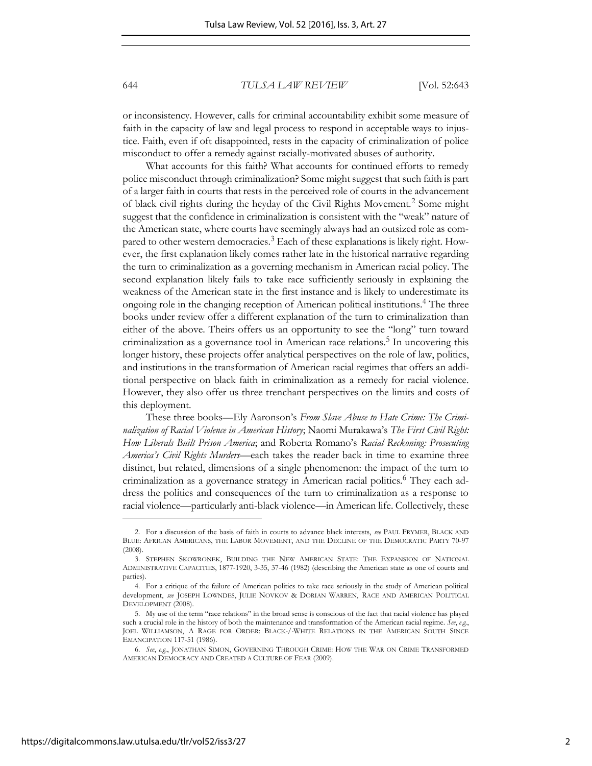or inconsistency. However, calls for criminal accountability exhibit some measure of faith in the capacity of law and legal process to respond in acceptable ways to injustice. Faith, even if oft disappointed, rests in the capacity of criminalization of police misconduct to offer a remedy against racially-motivated abuses of authority.

What accounts for this faith? What accounts for continued efforts to remedy police misconduct through criminalization? Some might suggest that such faith is part of a larger faith in courts that rests in the perceived role of courts in the advancement of black civil rights during the heyday of the Civil Rights Movement.<sup>2</sup> Some might suggest that the confidence in criminalization is consistent with the "weak" nature of the American state, where courts have seemingly always had an outsized role as compared to other western democracies.<sup>3</sup> Each of these explanations is likely right. However, the first explanation likely comes rather late in the historical narrative regarding the turn to criminalization as a governing mechanism in American racial policy. The second explanation likely fails to take race sufficiently seriously in explaining the weakness of the American state in the first instance and is likely to underestimate its ongoing role in the changing reception of American political institutions.<sup>4</sup> The three books under review offer a different explanation of the turn to criminalization than either of the above. Theirs offers us an opportunity to see the "long" turn toward criminalization as a governance tool in American race relations.<sup>5</sup> In uncovering this longer history, these projects offer analytical perspectives on the role of law, politics, and institutions in the transformation of American racial regimes that offers an additional perspective on black faith in criminalization as a remedy for racial violence. However, they also offer us three trenchant perspectives on the limits and costs of this deployment.

These three books—Ely Aaronson's *From Slave Abuse to Hate Crime: The Criminalization of Racial Violence in American History*; Naomi Murakawa's *The First Civil Right: How Liberals Built Prison America*; and Roberta Romano's *Racial Reckoning: Prosecuting America's Civil Rights Murders*—each takes the reader back in time to examine three distinct, but related, dimensions of a single phenomenon: the impact of the turn to criminalization as a governance strategy in American racial politics.<sup>6</sup> They each address the politics and consequences of the turn to criminalization as a response to racial violence—particularly anti-black violence—in American life. Collectively, these

<sup>2.</sup> For a discussion of the basis of faith in courts to advance black interests, *see* PAUL FRYMER, BLACK AND BLUE: AFRICAN AMERICANS, THE LABOR MOVEMENT, AND THE DECLINE OF THE DEMOCRATIC PARTY 70-97  $(2008)$ 

<sup>3.</sup> STEPHEN SKOWRONEK, BUILDING THE NEW AMERICAN STATE: THE EXPANSION OF NATIONAL ADMINISTRATIVE CAPACITIES, 1877-1920, 3-35, 37-46 (1982) (describing the American state as one of courts and parties).

<sup>4.</sup> For a critique of the failure of American politics to take race seriously in the study of American political development, *see* JOSEPH LOWNDES, JULIE NOVKOV & DORIAN WARREN, RACE AND AMERICAN POLITICAL DEVELOPMENT (2008).

<sup>5.</sup> My use of the term "race relations" in the broad sense is conscious of the fact that racial violence has played such a crucial role in the history of both the maintenance and transformation of the American racial regime. *See*, *e.g.*, JOEL WILLIAMSON, A RAGE FOR ORDER: BLACK*-*/*-*WHITE RELATIONS IN THE AMERICAN SOUTH SINCE EMANCIPATION 117-51 (1986).

<sup>6.</sup> *See*, *e.g.*, JONATHAN SIMON, GOVERNING THROUGH CRIME: HOW THE WAR ON CRIME TRANSFORMED AMERICAN DEMOCRACY AND CREATED A CULTURE OF FEAR (2009).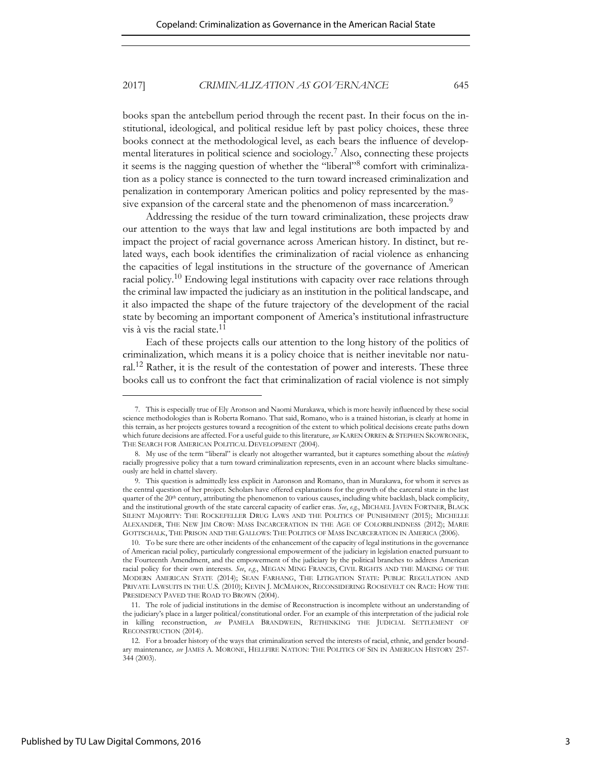books span the antebellum period through the recent past. In their focus on the institutional, ideological, and political residue left by past policy choices, these three books connect at the methodological level, as each bears the influence of developmental literatures in political science and sociology.<sup>7</sup> Also, connecting these projects it seems is the nagging question of whether the "liberal"<sup>8</sup> comfort with criminalization as a policy stance is connected to the turn toward increased criminalization and penalization in contemporary American politics and policy represented by the massive expansion of the carceral state and the phenomenon of mass incarceration.<sup>9</sup>

Addressing the residue of the turn toward criminalization, these projects draw our attention to the ways that law and legal institutions are both impacted by and impact the project of racial governance across American history. In distinct, but related ways, each book identifies the criminalization of racial violence as enhancing the capacities of legal institutions in the structure of the governance of American racial policy.10 Endowing legal institutions with capacity over race relations through the criminal law impacted the judiciary as an institution in the political landscape, and it also impacted the shape of the future trajectory of the development of the racial state by becoming an important component of America's institutional infrastructure vis à vis the racial state.<sup>11</sup>

Each of these projects calls our attention to the long history of the politics of criminalization, which means it is a policy choice that is neither inevitable nor natural.12 Rather, it is the result of the contestation of power and interests. These three books call us to confront the fact that criminalization of racial violence is not simply

<sup>7.</sup> This is especially true of Ely Aronson and Naomi Murakawa, which is more heavily influenced by these social science methodologies than is Roberta Romano. That said, Romano, who is a trained historian, is clearly at home in this terrain, as her projects gestures toward a recognition of the extent to which political decisions create paths down which future decisions are affected. For a useful guide to this literature, *see* KAREN ORREN & STEPHEN SKOWRONEK, THE SEARCH FOR AMERICAN POLITICAL DEVELOPMENT (2004).

<sup>8.</sup> My use of the term "liberal" is clearly not altogether warranted, but it captures something about the *relatively* racially progressive policy that a turn toward criminalization represents, even in an account where blacks simultaneously are held in chattel slavery.

<sup>9.</sup> This question is admittedly less explicit in Aaronson and Romano, than in Murakawa, for whom it serves as the central question of her project. Scholars have offered explanations for the growth of the carceral state in the last quarter of the 20<sup>th</sup> century, attributing the phenomenon to various causes, including white backlash, black complicity, and the institutional growth of the state carceral capacity of earlier eras. *See*, *e.g.*, MICHAEL JAVEN FORTNER, BLACK SILENT MAJORITY: THE ROCKEFELLER DRUG LAWS AND THE POLITICS OF PUNISHMENT (2015); MICHELLE ALEXANDER, THE NEW JIM CROW: MASS INCARCERATION IN THE AGE OF COLORBLINDNESS (2012); MARIE GOTTSCHALK, THE PRISON AND THE GALLOWS: THE POLITICS OF MASS INCARCERATION IN AMERICA (2006).

<sup>10.</sup> To be sure there are other incidents of the enhancement of the capacity of legal institutions in the governance of American racial policy, particularly congressional empowerment of the judiciary in legislation enacted pursuant to the Fourteenth Amendment, and the empowerment of the judiciary by the political branches to address American racial policy for their own interests. *See*, *e.g.*, MEGAN MING FRANCIS, CIVIL RIGHTS AND THE MAKING OF THE MODERN AMERICAN STATE (2014); SEAN FARHANG, THE LITIGATION STATE: PUBLIC REGULATION AND PRIVATE LAWSUITS IN THE U.S*.* (2010); KEVIN J. MCMAHON, RECONSIDERING ROOSEVELT ON RACE: HOW THE PRESIDENCY PAVED THE ROAD TO BROWN (2004).

<sup>11.</sup> The role of judicial institutions in the demise of Reconstruction is incomplete without an understanding of the judiciary's place in a larger political/constitutional order. For an example of this interpretation of the judicial role in killing reconstruction, *see* PAMELA BRANDWEIN, RETHINKING THE JUDICIAL SETTLEMENT OF RECONSTRUCTION (2014).

<sup>12.</sup> For a broader history of the ways that criminalization served the interests of racial, ethnic, and gender boundary maintenance*, see* JAMES A. MORONE, HELLFIRE NATION: THE POLITICS OF SIN IN AMERICAN HISTORY 257- 344 (2003).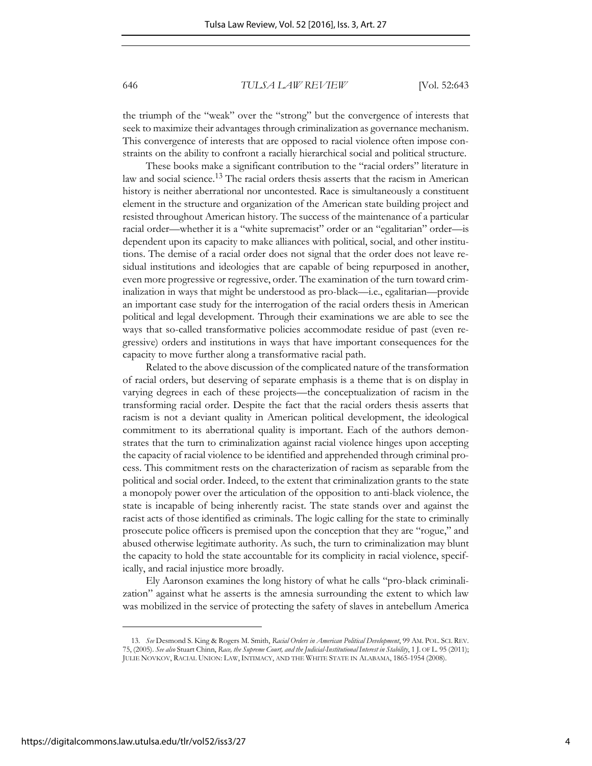the triumph of the "weak" over the "strong" but the convergence of interests that seek to maximize their advantages through criminalization as governance mechanism. This convergence of interests that are opposed to racial violence often impose constraints on the ability to confront a racially hierarchical social and political structure.

These books make a significant contribution to the "racial orders" literature in law and social science.13 The racial orders thesis asserts that the racism in American history is neither aberrational nor uncontested. Race is simultaneously a constituent element in the structure and organization of the American state building project and resisted throughout American history. The success of the maintenance of a particular racial order—whether it is a "white supremacist" order or an "egalitarian" order—is dependent upon its capacity to make alliances with political, social, and other institutions. The demise of a racial order does not signal that the order does not leave residual institutions and ideologies that are capable of being repurposed in another, even more progressive or regressive, order. The examination of the turn toward criminalization in ways that might be understood as pro-black—i.e., egalitarian—provide an important case study for the interrogation of the racial orders thesis in American political and legal development. Through their examinations we are able to see the ways that so-called transformative policies accommodate residue of past (even regressive) orders and institutions in ways that have important consequences for the capacity to move further along a transformative racial path.

Related to the above discussion of the complicated nature of the transformation of racial orders, but deserving of separate emphasis is a theme that is on display in varying degrees in each of these projects—the conceptualization of racism in the transforming racial order. Despite the fact that the racial orders thesis asserts that racism is not a deviant quality in American political development, the ideological commitment to its aberrational quality is important. Each of the authors demonstrates that the turn to criminalization against racial violence hinges upon accepting the capacity of racial violence to be identified and apprehended through criminal process. This commitment rests on the characterization of racism as separable from the political and social order. Indeed, to the extent that criminalization grants to the state a monopoly power over the articulation of the opposition to anti-black violence, the state is incapable of being inherently racist. The state stands over and against the racist acts of those identified as criminals. The logic calling for the state to criminally prosecute police officers is premised upon the conception that they are "rogue," and abused otherwise legitimate authority. As such, the turn to criminalization may blunt the capacity to hold the state accountable for its complicity in racial violence, specifically, and racial injustice more broadly.

Ely Aaronson examines the long history of what he calls "pro-black criminalization" against what he asserts is the amnesia surrounding the extent to which law was mobilized in the service of protecting the safety of slaves in antebellum America

<sup>13.</sup> *See* Desmond S. King & Rogers M. Smith, *Racial Orders in American Political Development*, 99 AM. POL. SCI. REV. 75, (2005). *See also* Stuart Chinn, *Race, the Supreme Court, and the Judicial-Institutional Interest in Stability*, 1 J. OF L. 95 (2011); JULIE NOVKOV, RACIAL UNION: LAW, INTIMACY, AND THE WHITE STATE IN ALABAMA, 1865-1954 (2008).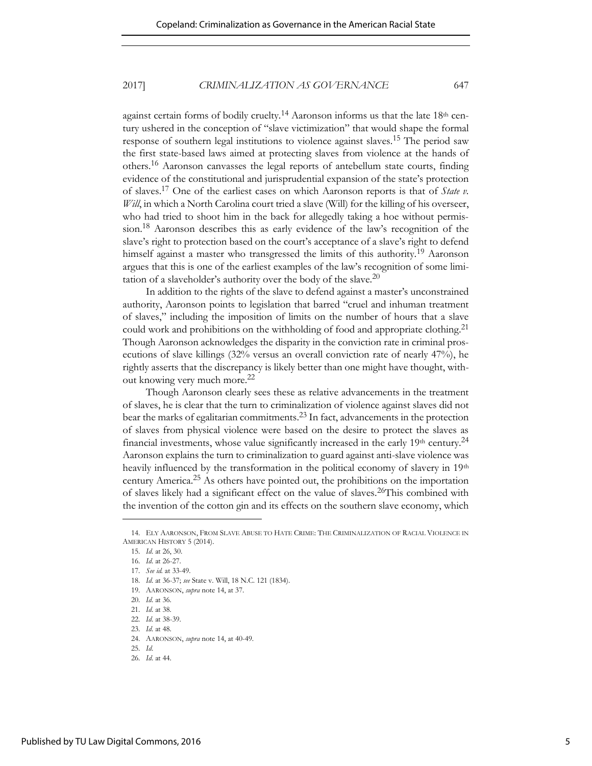against certain forms of bodily cruelty.<sup>14</sup> Aaronson informs us that the late  $18<sup>th</sup>$  century ushered in the conception of "slave victimization" that would shape the formal response of southern legal institutions to violence against slaves.15 The period saw the first state-based laws aimed at protecting slaves from violence at the hands of others.16 Aaronson canvasses the legal reports of antebellum state courts, finding evidence of the constitutional and jurisprudential expansion of the state's protection of slaves.17 One of the earliest cases on which Aaronson reports is that of *State v. Will*, in which a North Carolina court tried a slave (Will) for the killing of his overseer, who had tried to shoot him in the back for allegedly taking a hoe without permission.<sup>18</sup> Aaronson describes this as early evidence of the law's recognition of the slave's right to protection based on the court's acceptance of a slave's right to defend himself against a master who transgressed the limits of this authority.<sup>19</sup> Aaronson argues that this is one of the earliest examples of the law's recognition of some limitation of a slaveholder's authority over the body of the slave.<sup>20</sup>

In addition to the rights of the slave to defend against a master's unconstrained authority, Aaronson points to legislation that barred "cruel and inhuman treatment of slaves," including the imposition of limits on the number of hours that a slave could work and prohibitions on the withholding of food and appropriate clothing.<sup>21</sup> Though Aaronson acknowledges the disparity in the conviction rate in criminal prosecutions of slave killings (32% versus an overall conviction rate of nearly 47%), he rightly asserts that the discrepancy is likely better than one might have thought, without knowing very much more.<sup>22</sup>

Though Aaronson clearly sees these as relative advancements in the treatment of slaves, he is clear that the turn to criminalization of violence against slaves did not bear the marks of egalitarian commitments.23 In fact, advancements in the protection of slaves from physical violence were based on the desire to protect the slaves as financial investments, whose value significantly increased in the early  $19<sup>th</sup>$  century.<sup>24</sup> Aaronson explains the turn to criminalization to guard against anti-slave violence was heavily influenced by the transformation in the political economy of slavery in 19<sup>th</sup> century America.25 As others have pointed out, the prohibitions on the importation of slaves likely had a significant effect on the value of slaves.26This combined with the invention of the cotton gin and its effects on the southern slave economy, which

<sup>14.</sup> ELY AARONSON, FROM SLAVE ABUSE TO HATE CRIME: THE CRIMINALIZATION OF RACIAL VIOLENCE IN AMERICAN HISTORY 5 (2014).

<sup>15.</sup> *Id*. at 26, 30.

<sup>16.</sup> *Id*. at 26-27.

<sup>17.</sup> *See id.* at 33-49.

<sup>18.</sup> *Id*. at 36-37; *see* State v. Will, 18 N.C. 121 (1834).

<sup>19.</sup> AARONSON, *supra* note 14, at 37.

<sup>20.</sup> *Id*. at 36.

<sup>21.</sup> *Id*. at 38.

<sup>22.</sup> *Id*. at 38-39.

<sup>23.</sup> *Id*. at 48.

<sup>24.</sup> AARONSON, *supra* note 14, at 40-49.

<sup>25.</sup> *Id*.

<sup>26.</sup> *Id*. at 44.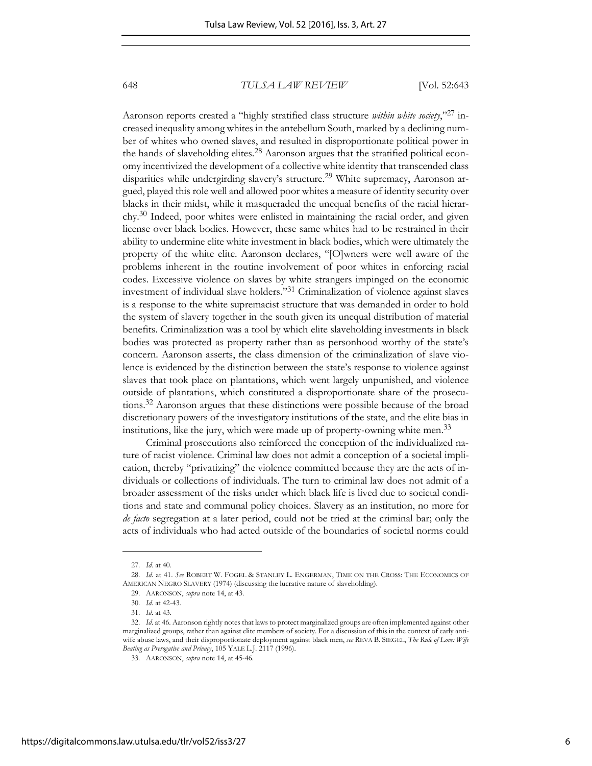Aaronson reports created a "highly stratified class structure *within white society*," <sup>27</sup> increased inequality among whites in the antebellum South, marked by a declining number of whites who owned slaves, and resulted in disproportionate political power in the hands of slaveholding elites.28 Aaronson argues that the stratified political economy incentivized the development of a collective white identity that transcended class disparities while undergirding slavery's structure.<sup>29</sup> White supremacy, Aaronson argued, played this role well and allowed poor whites a measure of identity security over blacks in their midst, while it masqueraded the unequal benefits of the racial hierarchy.30 Indeed, poor whites were enlisted in maintaining the racial order, and given license over black bodies. However, these same whites had to be restrained in their ability to undermine elite white investment in black bodies, which were ultimately the property of the white elite. Aaronson declares, "[O]wners were well aware of the problems inherent in the routine involvement of poor whites in enforcing racial codes. Excessive violence on slaves by white strangers impinged on the economic investment of individual slave holders."31 Criminalization of violence against slaves is a response to the white supremacist structure that was demanded in order to hold the system of slavery together in the south given its unequal distribution of material benefits. Criminalization was a tool by which elite slaveholding investments in black bodies was protected as property rather than as personhood worthy of the state's concern. Aaronson asserts, the class dimension of the criminalization of slave violence is evidenced by the distinction between the state's response to violence against slaves that took place on plantations, which went largely unpunished, and violence outside of plantations, which constituted a disproportionate share of the prosecutions.32 Aaronson argues that these distinctions were possible because of the broad discretionary powers of the investigatory institutions of the state, and the elite bias in institutions, like the jury, which were made up of property-owning white men.<sup>33</sup>

Criminal prosecutions also reinforced the conception of the individualized nature of racist violence. Criminal law does not admit a conception of a societal implication, thereby "privatizing" the violence committed because they are the acts of individuals or collections of individuals. The turn to criminal law does not admit of a broader assessment of the risks under which black life is lived due to societal conditions and state and communal policy choices. Slavery as an institution, no more for *de facto* segregation at a later period, could not be tried at the criminal bar; only the acts of individuals who had acted outside of the boundaries of societal norms could

<sup>27.</sup> *Id*. at 40.

<sup>28.</sup> *Id*. at 41. *See* ROBERT W. FOGEL & STANLEY L. ENGERMAN, TIME ON THE CROSS: THE ECONOMICS OF AMERICAN NEGRO SLAVERY (1974) (discussing the lucrative nature of slaveholding).

<sup>29.</sup> AARONSON, *supra* note 14, at 43.

<sup>30.</sup> *Id*. at 42-43.

<sup>31.</sup> *Id*. at 43.

<sup>32.</sup> *Id*. at 46. Aaronson rightly notes that laws to protect marginalized groups are often implemented against other marginalized groups, rather than against elite members of society. For a discussion of this in the context of early antiwife abuse laws, and their disproportionate deployment against black men, *see* REVA B. SIEGEL, *The Rule of Love: Wife Beating as Prerogative and Privacy*, 105 YALE L.J. 2117 (1996).

<sup>33.</sup> AARONSON, *supra* note 14, at 45-46.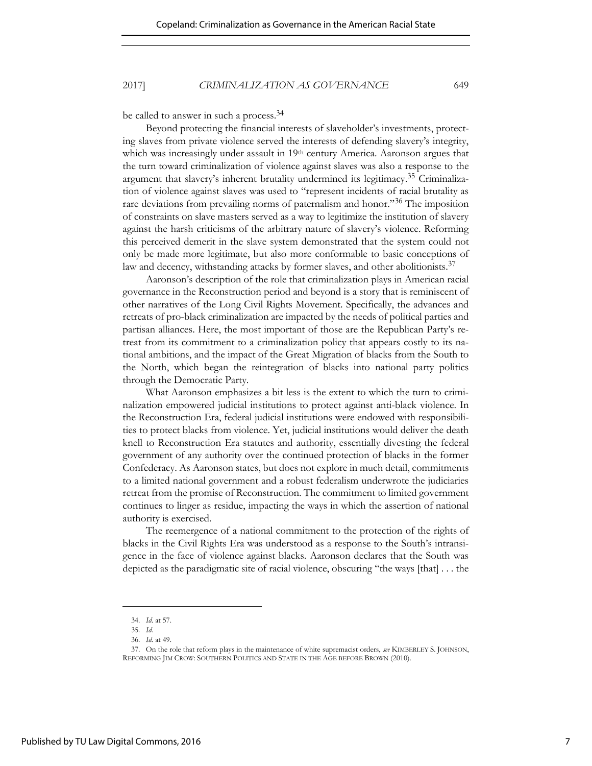be called to answer in such a process.<sup>34</sup>

Beyond protecting the financial interests of slaveholder's investments, protecting slaves from private violence served the interests of defending slavery's integrity, which was increasingly under assault in 19th century America. Aaronson argues that the turn toward criminalization of violence against slaves was also a response to the argument that slavery's inherent brutality undermined its legitimacy. <sup>35</sup> Criminalization of violence against slaves was used to "represent incidents of racial brutality as rare deviations from prevailing norms of paternalism and honor."<sup>36</sup> The imposition of constraints on slave masters served as a way to legitimize the institution of slavery against the harsh criticisms of the arbitrary nature of slavery's violence. Reforming this perceived demerit in the slave system demonstrated that the system could not only be made more legitimate, but also more conformable to basic conceptions of law and decency, withstanding attacks by former slaves, and other abolitionists.<sup>37</sup>

Aaronson's description of the role that criminalization plays in American racial governance in the Reconstruction period and beyond is a story that is reminiscent of other narratives of the Long Civil Rights Movement. Specifically, the advances and retreats of pro-black criminalization are impacted by the needs of political parties and partisan alliances. Here, the most important of those are the Republican Party's retreat from its commitment to a criminalization policy that appears costly to its national ambitions, and the impact of the Great Migration of blacks from the South to the North, which began the reintegration of blacks into national party politics through the Democratic Party.

What Aaronson emphasizes a bit less is the extent to which the turn to criminalization empowered judicial institutions to protect against anti-black violence. In the Reconstruction Era, federal judicial institutions were endowed with responsibilities to protect blacks from violence. Yet, judicial institutions would deliver the death knell to Reconstruction Era statutes and authority, essentially divesting the federal government of any authority over the continued protection of blacks in the former Confederacy. As Aaronson states, but does not explore in much detail, commitments to a limited national government and a robust federalism underwrote the judiciaries retreat from the promise of Reconstruction. The commitment to limited government continues to linger as residue, impacting the ways in which the assertion of national authority is exercised.

The reemergence of a national commitment to the protection of the rights of blacks in the Civil Rights Era was understood as a response to the South's intransigence in the face of violence against blacks. Aaronson declares that the South was depicted as the paradigmatic site of racial violence, obscuring "the ways [that] . . . the

<sup>34.</sup> *Id*. at 57.

<sup>35.</sup> *Id.* 

<sup>36.</sup> *Id.* at 49.

<sup>37.</sup> On the role that reform plays in the maintenance of white supremacist orders, *see* KIMBERLEY S. JOHNSON, REFORMING JIM CROW: SOUTHERN POLITICS AND STATE IN THE AGE BEFORE BROWN (2010).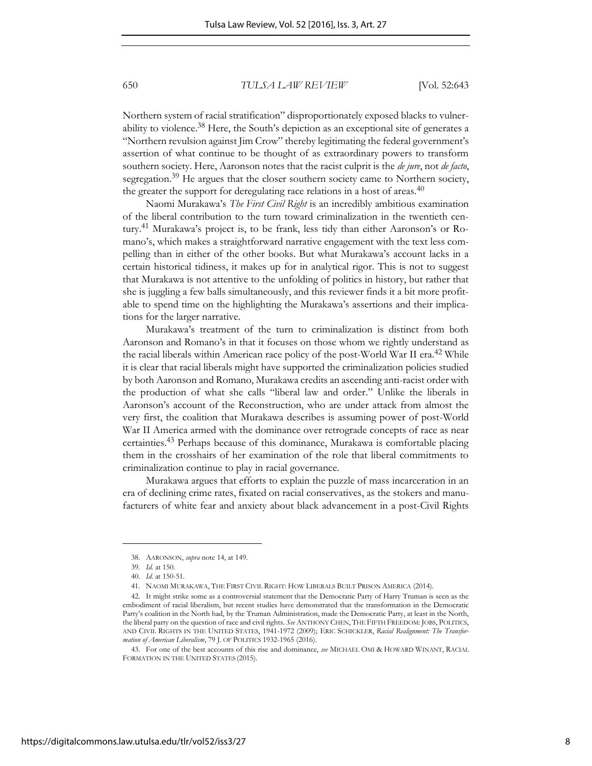Northern system of racial stratification" disproportionately exposed blacks to vulnerability to violence.<sup>38</sup> Here, the South's depiction as an exceptional site of generates a "Northern revulsion against Jim Crow" thereby legitimating the federal government's assertion of what continue to be thought of as extraordinary powers to transform southern society. Here, Aaronson notes that the racist culprit is the *de jure*, not *de facto*, segregation.<sup>39</sup> He argues that the closer southern society came to Northern society, the greater the support for deregulating race relations in a host of areas.<sup>40</sup>

Naomi Murakawa's *The First Civil Right* is an incredibly ambitious examination of the liberal contribution to the turn toward criminalization in the twentieth century.<sup>41</sup> Murakawa's project is, to be frank, less tidy than either Aaronson's or Romano's, which makes a straightforward narrative engagement with the text less compelling than in either of the other books. But what Murakawa's account lacks in a certain historical tidiness, it makes up for in analytical rigor. This is not to suggest that Murakawa is not attentive to the unfolding of politics in history, but rather that she is juggling a few balls simultaneously, and this reviewer finds it a bit more profitable to spend time on the highlighting the Murakawa's assertions and their implications for the larger narrative.

Murakawa's treatment of the turn to criminalization is distinct from both Aaronson and Romano's in that it focuses on those whom we rightly understand as the racial liberals within American race policy of the post-World War II era.<sup>42</sup> While it is clear that racial liberals might have supported the criminalization policies studied by both Aaronson and Romano, Murakawa credits an ascending anti-racist order with the production of what she calls "liberal law and order." Unlike the liberals in Aaronson's account of the Reconstruction, who are under attack from almost the very first, the coalition that Murakawa describes is assuming power of post-World War II America armed with the dominance over retrograde concepts of race as near certainties.43 Perhaps because of this dominance, Murakawa is comfortable placing them in the crosshairs of her examination of the role that liberal commitments to criminalization continue to play in racial governance.

Murakawa argues that efforts to explain the puzzle of mass incarceration in an era of declining crime rates, fixated on racial conservatives, as the stokers and manufacturers of white fear and anxiety about black advancement in a post-Civil Rights

<sup>38.</sup> AARONSON, *supra* note 14, at 149.

<sup>39.</sup> *Id.* at 150.

<sup>40.</sup> *Id*. at 150-51.

<sup>41.</sup> NAOMI MURAKAWA, THE FIRST CIVIL RIGHT: HOW LIBERALS BUILT PRISON AMERICA (2014).

<sup>42.</sup> It might strike some as a controversial statement that the Democratic Party of Harry Truman is seen as the embodiment of racial liberalism, but recent studies have demonstrated that the transformation in the Democratic Party's coalition in the North had, by the Truman Administration, made the Democratic Party, at least in the North, the liberal party on the question of race and civil rights. *See* ANTHONY CHEN, THE FIFTH FREEDOM: JOBS, POLITICS, AND CIVIL RIGHTS IN THE UNITED STATES, 1941-1972 (2009); ERIC SCHICKLER, *Racial Realignment: The Transformation of American Liberalism*, 79 J. OF POLITICS 1932-1965 (2016).

<sup>43.</sup> For one of the best accounts of this rise and dominance, *see* MICHAEL OMI & HOWARD WINANT, RACIAL FORMATION IN THE UNITED STATES (2015).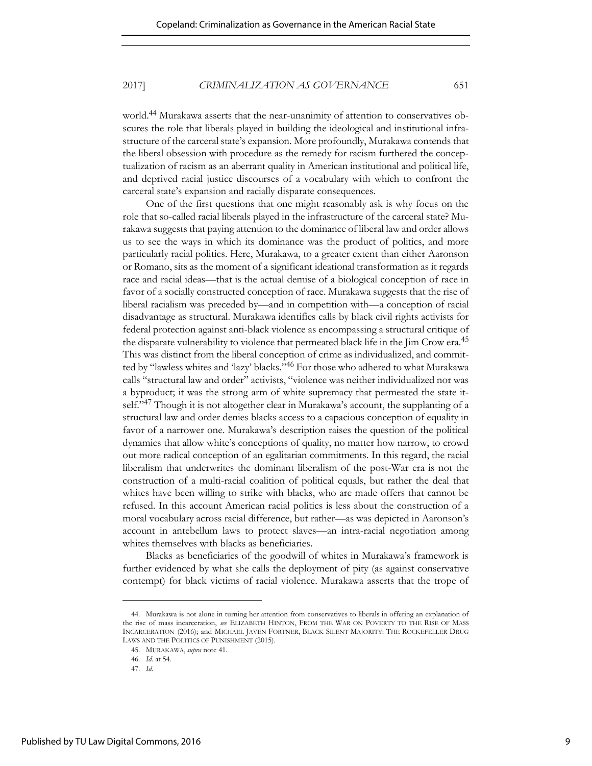world.44 Murakawa asserts that the near-unanimity of attention to conservatives obscures the role that liberals played in building the ideological and institutional infrastructure of the carceral state's expansion. More profoundly, Murakawa contends that the liberal obsession with procedure as the remedy for racism furthered the conceptualization of racism as an aberrant quality in American institutional and political life, and deprived racial justice discourses of a vocabulary with which to confront the carceral state's expansion and racially disparate consequences.

One of the first questions that one might reasonably ask is why focus on the role that so-called racial liberals played in the infrastructure of the carceral state? Murakawa suggests that paying attention to the dominance of liberal law and order allows us to see the ways in which its dominance was the product of politics, and more particularly racial politics. Here, Murakawa, to a greater extent than either Aaronson or Romano, sits as the moment of a significant ideational transformation as it regards race and racial ideas—that is the actual demise of a biological conception of race in favor of a socially constructed conception of race. Murakawa suggests that the rise of liberal racialism was preceded by—and in competition with—a conception of racial disadvantage as structural. Murakawa identifies calls by black civil rights activists for federal protection against anti-black violence as encompassing a structural critique of the disparate vulnerability to violence that permeated black life in the Jim Crow era.<sup>45</sup> This was distinct from the liberal conception of crime as individualized, and committed by "lawless whites and 'lazy' blacks."46 For those who adhered to what Murakawa calls "structural law and order" activists, "violence was neither individualized nor was a byproduct; it was the strong arm of white supremacy that permeated the state itself."<sup>47</sup> Though it is not altogether clear in Murakawa's account, the supplanting of a structural law and order denies blacks access to a capacious conception of equality in favor of a narrower one. Murakawa's description raises the question of the political dynamics that allow white's conceptions of quality, no matter how narrow, to crowd out more radical conception of an egalitarian commitments. In this regard, the racial liberalism that underwrites the dominant liberalism of the post-War era is not the construction of a multi-racial coalition of political equals, but rather the deal that whites have been willing to strike with blacks, who are made offers that cannot be refused. In this account American racial politics is less about the construction of a moral vocabulary across racial difference, but rather—as was depicted in Aaronson's account in antebellum laws to protect slaves—an intra-racial negotiation among whites themselves with blacks as beneficiaries.

Blacks as beneficiaries of the goodwill of whites in Murakawa's framework is further evidenced by what she calls the deployment of pity (as against conservative contempt) for black victims of racial violence. Murakawa asserts that the trope of

<sup>44.</sup> Murakawa is not alone in turning her attention from conservatives to liberals in offering an explanation of the rise of mass incarceration, *see* ELIZABETH HINTON, FROM THE WAR ON POVERTY TO THE RISE OF MASS INCARCERATION (2016); and MICHAEL JAVEN FORTNER, BLACK SILENT MAJORITY: THE ROCKEFELLER DRUG LAWS AND THE POLITICS OF PUNISHMENT (2015).

<sup>45.</sup> MURAKAWA, *supra* note 41.

<sup>46.</sup> *Id.* at 54.

<sup>47.</sup> *Id.*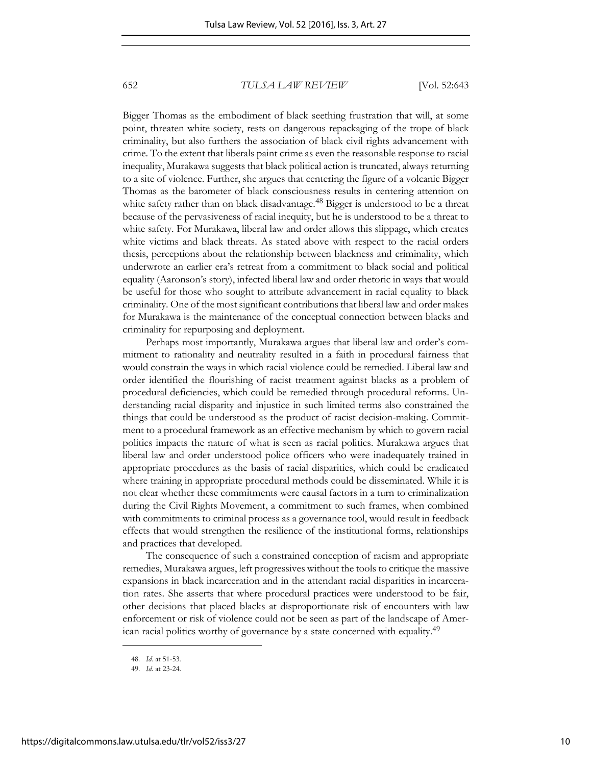Bigger Thomas as the embodiment of black seething frustration that will, at some point, threaten white society, rests on dangerous repackaging of the trope of black criminality, but also furthers the association of black civil rights advancement with crime. To the extent that liberals paint crime as even the reasonable response to racial inequality, Murakawa suggests that black political action is truncated, always returning to a site of violence. Further, she argues that centering the figure of a volcanic Bigger Thomas as the barometer of black consciousness results in centering attention on white safety rather than on black disadvantage.<sup>48</sup> Bigger is understood to be a threat because of the pervasiveness of racial inequity, but he is understood to be a threat to white safety. For Murakawa, liberal law and order allows this slippage, which creates white victims and black threats. As stated above with respect to the racial orders thesis, perceptions about the relationship between blackness and criminality, which underwrote an earlier era's retreat from a commitment to black social and political equality (Aaronson's story), infected liberal law and order rhetoric in ways that would be useful for those who sought to attribute advancement in racial equality to black criminality. One of the most significant contributions that liberal law and order makes for Murakawa is the maintenance of the conceptual connection between blacks and criminality for repurposing and deployment.

Perhaps most importantly, Murakawa argues that liberal law and order's commitment to rationality and neutrality resulted in a faith in procedural fairness that would constrain the ways in which racial violence could be remedied. Liberal law and order identified the flourishing of racist treatment against blacks as a problem of procedural deficiencies, which could be remedied through procedural reforms. Understanding racial disparity and injustice in such limited terms also constrained the things that could be understood as the product of racist decision-making. Commitment to a procedural framework as an effective mechanism by which to govern racial politics impacts the nature of what is seen as racial politics. Murakawa argues that liberal law and order understood police officers who were inadequately trained in appropriate procedures as the basis of racial disparities, which could be eradicated where training in appropriate procedural methods could be disseminated. While it is not clear whether these commitments were causal factors in a turn to criminalization during the Civil Rights Movement, a commitment to such frames, when combined with commitments to criminal process as a governance tool, would result in feedback effects that would strengthen the resilience of the institutional forms, relationships and practices that developed.

The consequence of such a constrained conception of racism and appropriate remedies, Murakawa argues, left progressives without the tools to critique the massive expansions in black incarceration and in the attendant racial disparities in incarceration rates. She asserts that where procedural practices were understood to be fair, other decisions that placed blacks at disproportionate risk of encounters with law enforcement or risk of violence could not be seen as part of the landscape of American racial politics worthy of governance by a state concerned with equality.<sup>49</sup>

<sup>48.</sup> *Id.* at 51-53.

<sup>49.</sup> *Id.* at 23-24.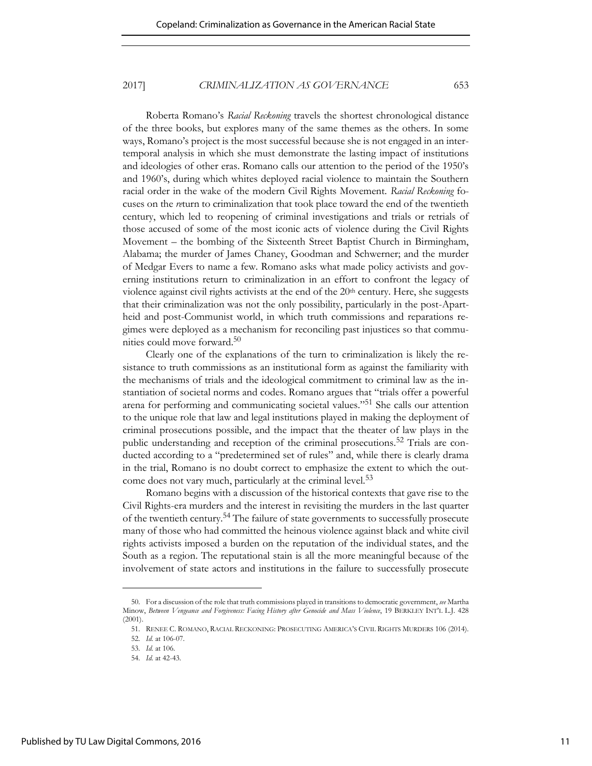Roberta Romano's *Racial Reckoning* travels the shortest chronological distance of the three books, but explores many of the same themes as the others. In some ways, Romano's project is the most successful because she is not engaged in an intertemporal analysis in which she must demonstrate the lasting impact of institutions and ideologies of other eras. Romano calls our attention to the period of the 1950's and 1960's, during which whites deployed racial violence to maintain the Southern racial order in the wake of the modern Civil Rights Movement. *Racial Reckoning* focuses on the *re*turn to criminalization that took place toward the end of the twentieth century, which led to reopening of criminal investigations and trials or retrials of those accused of some of the most iconic acts of violence during the Civil Rights Movement – the bombing of the Sixteenth Street Baptist Church in Birmingham, Alabama; the murder of James Chaney, Goodman and Schwerner; and the murder of Medgar Evers to name a few. Romano asks what made policy activists and governing institutions return to criminalization in an effort to confront the legacy of violence against civil rights activists at the end of the 20<sup>th</sup> century. Here, she suggests that their criminalization was not the only possibility, particularly in the post-Apartheid and post-Communist world, in which truth commissions and reparations regimes were deployed as a mechanism for reconciling past injustices so that communities could move forward.<sup>50</sup>

Clearly one of the explanations of the turn to criminalization is likely the resistance to truth commissions as an institutional form as against the familiarity with the mechanisms of trials and the ideological commitment to criminal law as the instantiation of societal norms and codes. Romano argues that "trials offer a powerful arena for performing and communicating societal values."51 She calls our attention to the unique role that law and legal institutions played in making the deployment of criminal prosecutions possible, and the impact that the theater of law plays in the public understanding and reception of the criminal prosecutions.<sup>52</sup> Trials are conducted according to a "predetermined set of rules" and, while there is clearly drama in the trial, Romano is no doubt correct to emphasize the extent to which the outcome does not vary much, particularly at the criminal level.<sup>53</sup>

Romano begins with a discussion of the historical contexts that gave rise to the Civil Rights-era murders and the interest in revisiting the murders in the last quarter of the twentieth century.54 The failure of state governments to successfully prosecute many of those who had committed the heinous violence against black and white civil rights activists imposed a burden on the reputation of the individual states, and the South as a region. The reputational stain is all the more meaningful because of the involvement of state actors and institutions in the failure to successfully prosecute

<sup>50.</sup> For a discussion of the role that truth commissions played in transitions to democratic government, *see* Martha Minow, *Between Vengeance and Forgiveness: Facing History after Genocide and Mass Violence*, 19 BERKLEY INT'L L.J. 428 (2001).

<sup>51.</sup> RENEE C. ROMANO, RACIAL RECKONING: PROSECUTING AMERICA'S CIVIL RIGHTS MURDERS 106 (2014).

<sup>52.</sup> *Id.* at 106-07.

<sup>53.</sup> *Id.* at 106.

<sup>54.</sup> *Id.* at 42-43.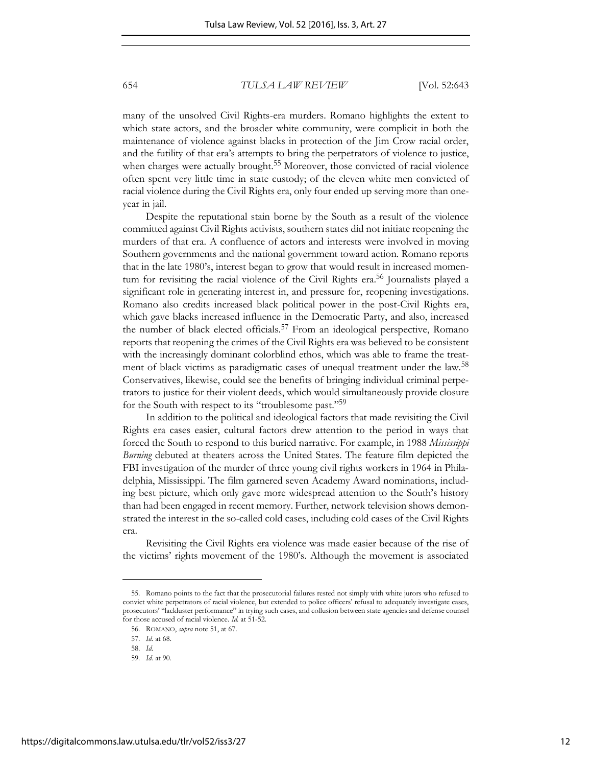many of the unsolved Civil Rights-era murders. Romano highlights the extent to which state actors, and the broader white community, were complicit in both the maintenance of violence against blacks in protection of the Jim Crow racial order, and the futility of that era's attempts to bring the perpetrators of violence to justice, when charges were actually brought.<sup>55</sup> Moreover, those convicted of racial violence often spent very little time in state custody; of the eleven white men convicted of racial violence during the Civil Rights era, only four ended up serving more than oneyear in jail.

Despite the reputational stain borne by the South as a result of the violence committed against Civil Rights activists, southern states did not initiate reopening the murders of that era. A confluence of actors and interests were involved in moving Southern governments and the national government toward action. Romano reports that in the late 1980's, interest began to grow that would result in increased momentum for revisiting the racial violence of the Civil Rights era.<sup>56</sup> Journalists played a significant role in generating interest in, and pressure for, reopening investigations. Romano also credits increased black political power in the post-Civil Rights era, which gave blacks increased influence in the Democratic Party, and also, increased the number of black elected officials.<sup>57</sup> From an ideological perspective, Romano reports that reopening the crimes of the Civil Rights era was believed to be consistent with the increasingly dominant colorblind ethos, which was able to frame the treatment of black victims as paradigmatic cases of unequal treatment under the law.<sup>58</sup> Conservatives, likewise, could see the benefits of bringing individual criminal perpetrators to justice for their violent deeds, which would simultaneously provide closure for the South with respect to its "troublesome past."<sup>59</sup>

In addition to the political and ideological factors that made revisiting the Civil Rights era cases easier, cultural factors drew attention to the period in ways that forced the South to respond to this buried narrative. For example, in 1988 *Mississippi Burning* debuted at theaters across the United States. The feature film depicted the FBI investigation of the murder of three young civil rights workers in 1964 in Philadelphia, Mississippi. The film garnered seven Academy Award nominations, including best picture, which only gave more widespread attention to the South's history than had been engaged in recent memory. Further, network television shows demonstrated the interest in the so-called cold cases, including cold cases of the Civil Rights era.

Revisiting the Civil Rights era violence was made easier because of the rise of the victims' rights movement of the 1980's. Although the movement is associated

<sup>55.</sup> Romano points to the fact that the prosecutorial failures rested not simply with white jurors who refused to convict white perpetrators of racial violence, but extended to police officers' refusal to adequately investigate cases, prosecutors' "lackluster performance" in trying such cases, and collusion between state agencies and defense counsel for those accused of racial violence. *Id.* at 51-52.

<sup>56.</sup> ROMANO, *supra* note 51, at 67.

<sup>57.</sup> *Id.* at 68.

<sup>58.</sup> *Id.*

<sup>59.</sup> *Id.* at 90.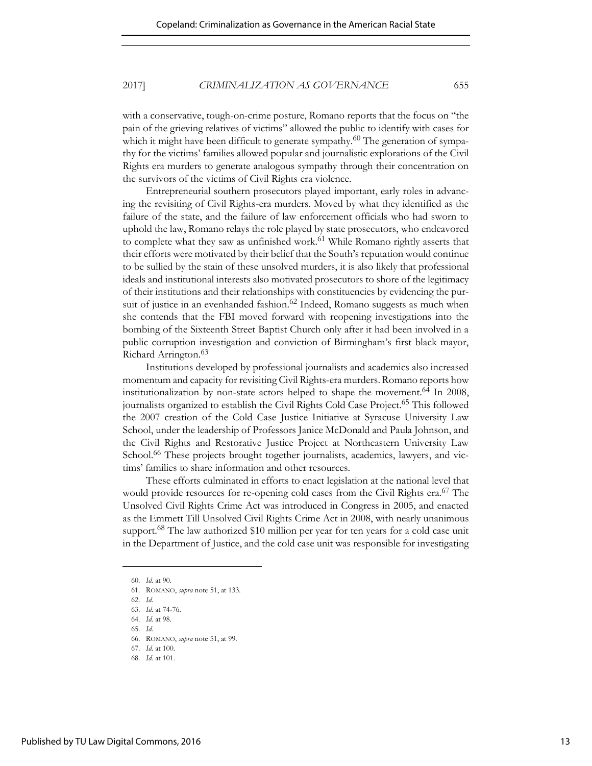with a conservative, tough-on-crime posture, Romano reports that the focus on "the pain of the grieving relatives of victims" allowed the public to identify with cases for which it might have been difficult to generate sympathy.<sup>60</sup> The generation of sympathy for the victims' families allowed popular and journalistic explorations of the Civil Rights era murders to generate analogous sympathy through their concentration on the survivors of the victims of Civil Rights era violence.

Entrepreneurial southern prosecutors played important, early roles in advancing the revisiting of Civil Rights-era murders. Moved by what they identified as the failure of the state, and the failure of law enforcement officials who had sworn to uphold the law, Romano relays the role played by state prosecutors, who endeavored to complete what they saw as unfinished work.<sup>61</sup> While Romano rightly asserts that their efforts were motivated by their belief that the South's reputation would continue to be sullied by the stain of these unsolved murders, it is also likely that professional ideals and institutional interests also motivated prosecutors to shore of the legitimacy of their institutions and their relationships with constituencies by evidencing the pursuit of justice in an evenhanded fashion.<sup>62</sup> Indeed, Romano suggests as much when she contends that the FBI moved forward with reopening investigations into the bombing of the Sixteenth Street Baptist Church only after it had been involved in a public corruption investigation and conviction of Birmingham's first black mayor, Richard Arrington.<sup>63</sup>

Institutions developed by professional journalists and academics also increased momentum and capacity for revisiting Civil Rights-era murders. Romano reports how institutionalization by non-state actors helped to shape the movement.<sup>64</sup> In 2008, journalists organized to establish the Civil Rights Cold Case Project.<sup>65</sup> This followed the 2007 creation of the Cold Case Justice Initiative at Syracuse University Law School, under the leadership of Professors Janice McDonald and Paula Johnson, and the Civil Rights and Restorative Justice Project at Northeastern University Law School.<sup>66</sup> These projects brought together journalists, academics, lawyers, and victims' families to share information and other resources.

These efforts culminated in efforts to enact legislation at the national level that would provide resources for re-opening cold cases from the Civil Rights era.<sup>67</sup> The Unsolved Civil Rights Crime Act was introduced in Congress in 2005, and enacted as the Emmett Till Unsolved Civil Rights Crime Act in 2008, with nearly unanimous support.68 The law authorized \$10 million per year for ten years for a cold case unit in the Department of Justice, and the cold case unit was responsible for investigating

<sup>60.</sup> *Id.* at 90. 61. ROMANO, *supra* note 51, at 133.

<sup>62.</sup> *Id.*

<sup>63.</sup> *Id.* at 74-76.

<sup>64.</sup> *Id.* at 98.

<sup>65.</sup> *Id.*

<sup>66.</sup> ROMANO, *supra* note 51, at 99.

<sup>67.</sup> *Id.* at 100.

<sup>68.</sup> *Id.* at 101.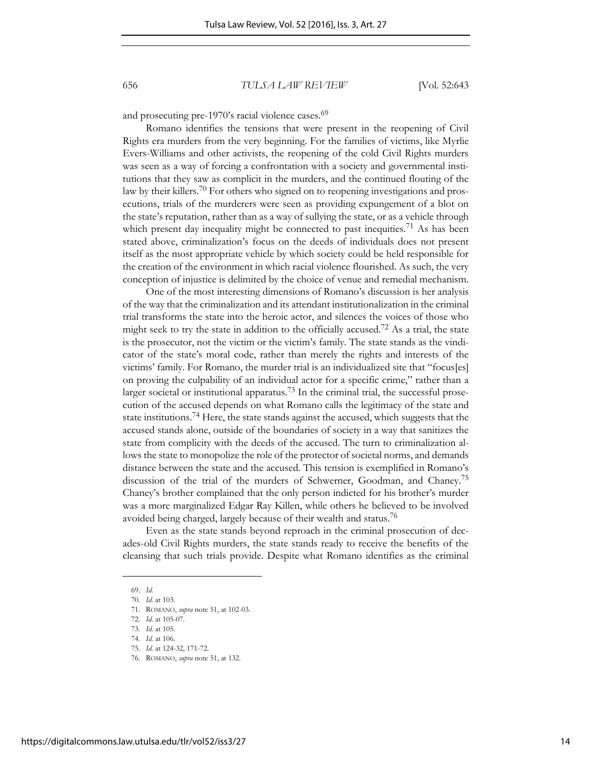and prosecuting pre-1970's racial violence cases.<sup>69</sup>

Romano identifies the tensions that were present in the reopening of Civil Rights era murders from the very beginning. For the families of victims, like Myrlie Evers-Williams and other activists, the reopening of the cold Civil Rights murders was seen as a way of forcing a confrontation with a society and governmental institutions that they saw as complicit in the murders, and the continued flouting of the law by their killers.<sup>70</sup> For others who signed on to reopening investigations and prosecutions, trials of the murderers were seen as providing expungement of a blot on the state's reputation, rather than as a way of sullying the state, or as a vehicle through which present day inequality might be connected to past inequities.<sup>71</sup> As has been stated above, criminalization's focus on the deeds of individuals does not present itself as the most appropriate vehicle by which society could be held responsible for the creation of the environment in which racial violence flourished. As such, the very conception of injustice is delimited by the choice of venue and remedial mechanism.

One of the most interesting dimensions of Romano's discussion is her analysis of the way that the criminalization and its attendant institutionalization in the criminal trial transforms the state into the heroic actor, and silences the voices of those who might seek to try the state in addition to the officially accused.<sup>72</sup> As a trial, the state is the prosecutor, not the victim or the victim's family. The state stands as the vindicator of the state's moral code, rather than merely the rights and interests of the victims' family. For Romano, the murder trial is an individualized site that "focus[es] on proving the culpability of an individual actor for a specific crime," rather than a larger societal or institutional apparatus.<sup>73</sup> In the criminal trial, the successful prosecution of the accused depends on what Romano calls the legitimacy of the state and state institutions.74 Here, the state stands against the accused, which suggests that the accused stands alone, outside of the boundaries of society in a way that sanitizes the state from complicity with the deeds of the accused. The turn to criminalization allows the state to monopolize the role of the protector of societal norms, and demands distance between the state and the accused. This tension is exemplified in Romano's discussion of the trial of the murders of Schwerner, Goodman, and Chaney.<sup>75</sup> Chaney's brother complained that the only person indicted for his brother's murder was a more marginalized Edgar Ray Killen, while others he believed to be involved avoided being charged, largely because of their wealth and status.<sup>76</sup>

Even as the state stands beyond reproach in the criminal prosecution of decades-old Civil Rights murders, the state stands ready to receive the benefits of the cleansing that such trials provide. Despite what Romano identifies as the criminal

<sup>69.</sup> *Id.*

<sup>70.</sup> *Id.* at 103.

<sup>71.</sup> ROMANO, *supra* note 51, at 102-03.

<sup>72.</sup> *Id.* at 105-07.

<sup>73.</sup> *Id.* at 105.

<sup>74.</sup> *Id.* at 106.

<sup>75.</sup> *Id.* at 124-32, 171-72.

<sup>76.</sup> ROMANO, *supra* note 51, at 132.